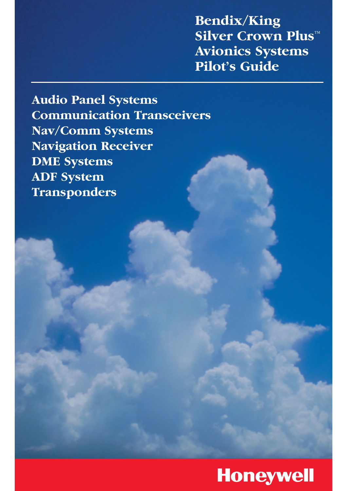**Bendix/King Silver Crown Plus™ Avionics Systems Pilot's Guide**

**Audio Panel Systems Communication Transceivers Nav/Comm Systems Navigation Receiver DME Systems ADF System Transponders**

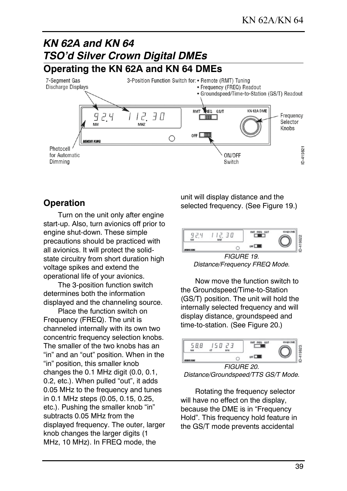

### **Operation**

Turn on the unit only after engine start-up. Also, turn avionics off prior to engine shut-down. These simple precautions should be practiced with all avionics. It will protect the solidstate circuitry from short duration high voltage spikes and extend the operational life of your avionics.

The 3-position function switch determines both the information displayed and the channeling source.

Place the function switch on Frequency (FREQ). The unit is channeled internally with its own two concentric frequency selection knobs. The smaller of the two knobs has an "in" and an "out" position. When in the "in" position, this smaller knob changes the 0.1 MHz digit (0.0, 0.1, 0.2, etc.). When pulled "out", it adds 0.05 MHz to the frequency and tunes in 0.1 MHz steps (0.05, 0.15, 0.25, etc.). Pushing the smaller knob "in" subtracts 0.05 MHz from the displayed frequency. The outer, larger knob changes the larger digits (1 MHz, 10 MHz). In FREQ mode, the

unit will display distance and the selected frequency. (See Figure 19.)



FIGURE 19. Distance/Frequency FREQ Mode.

Now move the function switch to the Groundspeed/Time-to-Station (GS/T) position. The unit will hold the internally selected frequency and will display distance, groundspeed and time-to-station. (See Figure 20.)



Distance/Groundspeed/TTS GS/T Mode.

Rotating the frequency selector will have no effect on the display, because the DME is in "Frequency Hold". This frequency hold feature in the GS/T mode prevents accidental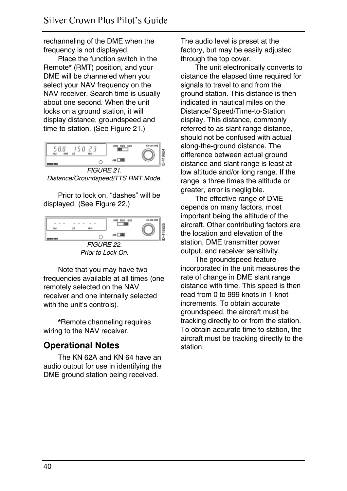rechanneling of the DME when the frequency is not displayed.

Place the function switch in the Remote\* (RMT) position, and your DME will be channeled when you select your NAV frequency on the NAV receiver. Search time is usually about one second. When the unit locks on a ground station, it will display distance, groundspeed and time-to-station. (See Figure 21.)



Distance/Groundspeed/TTS RMT Mode.

Prior to lock on, "dashes" will be displayed. (See Figure 22.)



Prior to Lock On.

Note that you may have two frequencies available at all times (one remotely selected on the NAV receiver and one internally selected with the unit's controls).

\*Remote channeling requires wiring to the NAV receiver.

## **Operational Notes**

The KN 62A and KN 64 have an audio output for use in identifying the DME ground station being received.

The audio level is preset at the factory, but may be easily adjusted through the top cover.

The unit electronically converts to distance the elapsed time required for signals to travel to and from the ground station. This distance is then indicated in nautical miles on the Distance/ Speed/Time-to-Station display. This distance, commonly referred to as slant range distance, should not be confused with actual along-the-ground distance. The difference between actual ground distance and slant range is least at low altitude and/or long range. If the range is three times the altitude or greater, error is negligible.

The effective range of DME depends on many factors, most important being the altitude of the aircraft. Other contributing factors are the location and elevation of the station, DME transmitter power output, and receiver sensitivity.

The groundspeed feature incorporated in the unit measures the rate of change in DME slant range distance with time. This speed is then read from 0 to 999 knots in 1 knot increments. To obtain accurate groundspeed, the aircraft must be tracking directly to or from the station. To obtain accurate time to station, the aircraft must be tracking directly to the station.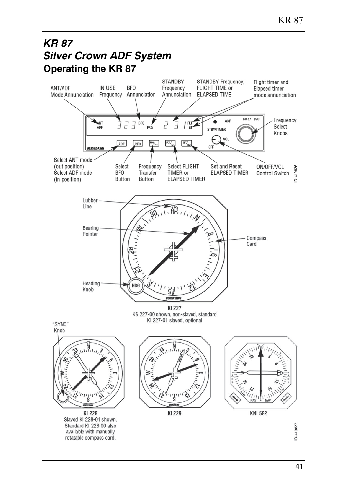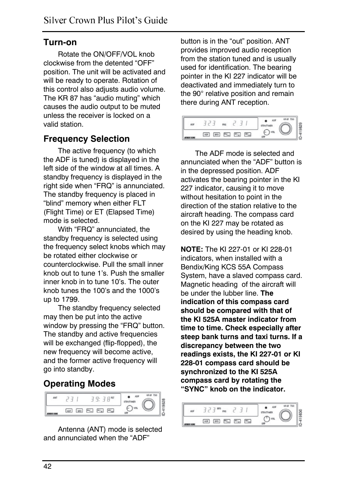### **Turn-on**

Rotate the ON/OFF/VOL knob clockwise from the detented "OFF" position. The unit will be activated and will be ready to operate. Rotation of this control also adjusts audio volume. The KR 87 has "audio muting" which causes the audio output to be muted unless the receiver is locked on a valid station.

# **Frequency Selection**

The active frequency (to which the ADF is tuned) is displayed in the left side of the window at all times. A standby frequency is displayed in the right side when "FRQ" is annunciated. The standby frequency is placed in "blind" memory when either FLT (Flight Time) or ET (Elapsed Time) mode is selected.

With "FRQ" annunciated, the standby frequency is selected using the frequency select knobs which may be rotated either clockwise or counterclockwise. Pull the small inner knob out to tune 1's. Push the smaller inner knob in to tune 10's. The outer knob tunes the 100's and the 1000's up to 1799.

The standby frequency selected may then be put into the active window by pressing the "FRQ" button. The standby and active frequencies will be exchanged (flip-flopped), the new frequency will become active, and the former active frequency will go into standby.

# **Operating Modes**



Antenna (ANT) mode is selected and annunciated when the "ADF"

button is in the "out" position. ANT provides improved audio reception from the station tuned and is usually used for identification. The bearing pointer in the KI 227 indicator will be deactivated and immediately turn to the 90° relative position and remain there during ANT reception.



The ADF mode is selected and annunciated when the "ADF" button is in the depressed position. ADF activates the bearing pointer in the KI 227 indicator, causing it to move without hesitation to point in the direction of the station relative to the aircraft heading. The compass card on the KI 227 may be rotated as desired by using the heading knob.

**NOTE:** The KI 227-01 or KI 228-01 indicators, when installed with a Bendix/King KCS 55A Compass System, have a slaved compass card. Magnetic heading of the aircraft will be under the lubber line. **The indication of this compass card should be compared with that of the KI 525A master indicator from time to time. Check especially after steep bank turns and taxi turns. If a discrepancy between the two readings exists, the KI 227-01 or KI 228-01 compass card should be synchronized to the KI 525A compass card by rotating the "SYNC" knob on the indicator.** 

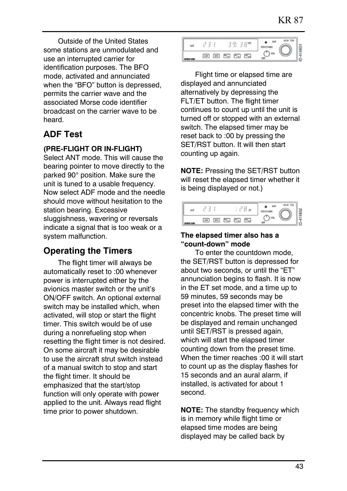Outside of the United States some stations are unmodulated and use an interrupted carrier for identification purposes. The BFO mode, activated and annunciated when the "BFO" button is depressed, permits the carrier wave and the associated Morse code identifier broadcast on the carrier wave to be heard.

# **ADF Test**

#### **(PRE-FLIGHT OR IN-FLIGHT)**

Select ANT mode. This will cause the bearing pointer to move directly to the parked 90° position. Make sure the unit is tuned to a usable frequency. Now select ADF mode and the needle should move without hesitation to the station bearing. Excessive sluggishness, wavering or reversals indicate a signal that is too weak or a system malfunction.

# **Operating the Timers**

The flight timer will always be automatically reset to :00 whenever power is interrupted either by the avionics master switch or the unit's ON/OFF switch. An optional external switch may be installed which, when activated, will stop or start the flight timer. This switch would be of use during a nonrefueling stop when resetting the flight timer is not desired. On some aircraft it may be desirable to use the aircraft strut switch instead of a manual switch to stop and start the flight timer. It should be emphasized that the start/stop function will only operate with power applied to the unit. Always read flight time prior to power shutdown.

| ш            |     |     | 79.78m                            |  |  | KR.67 T55 |  |
|--------------|-----|-----|-----------------------------------|--|--|-----------|--|
| AFROIX A 200 | ADF | BFD | $W_{\text{tot}}$ $W_{\text{eff}}$ |  |  |           |  |

Flight time or elapsed time are displayed and annunciated alternatively by depressing the FLT/ET button. The flight timer continues to count up until the unit is turned off or stopped with an external switch. The elapsed timer may be reset back to :00 by pressing the SET/RST button. It will then start counting up again.

**NOTE:** Pressing the SET/RST button will reset the elapsed timer whether it is being displayed or not.)



#### **The elapsed timer also has a "count-down" mode**

To enter the countdown mode, the SET/RST button is depressed for about two seconds, or until the "ET" annunciation begins to flash. It is now in the ET set mode, and a time up to 59 minutes, 59 seconds may be preset into the elapsed timer with the concentric knobs. The preset time will be displayed and remain unchanged until SET/RST is pressed again, which will start the elapsed timer counting down from the preset time. When the timer reaches :00 it will start to count up as the display flashes for 15 seconds and an aural alarm, if installed, is activated for about 1 second.

**NOTE:** The standby frequency which is in memory while flight time or elapsed time modes are being displayed may be called back by